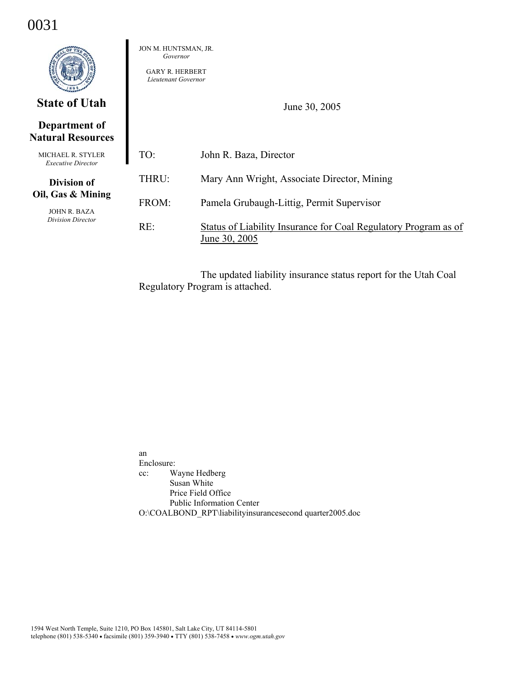## 0031

|                                                | JON M. HUNTSMAN, JR.<br>Governor<br><b>GARY R. HERBERT</b><br>Lieutenant Governor |                                                                                  |
|------------------------------------------------|-----------------------------------------------------------------------------------|----------------------------------------------------------------------------------|
| <b>State of Utah</b>                           |                                                                                   | June 30, 2005                                                                    |
| Department of<br><b>Natural Resources</b>      |                                                                                   |                                                                                  |
| MICHAEL R. STYLER<br><b>Executive Director</b> | TO:                                                                               | John R. Baza, Director                                                           |
| <b>Division of</b>                             | THRU:                                                                             | Mary Ann Wright, Associate Director, Mining                                      |
| Oil, Gas & Mining<br><b>JOHN R. BAZA</b>       | FROM:                                                                             | Pamela Grubaugh-Littig, Permit Supervisor                                        |
| Division Director                              | RE:                                                                               | Status of Liability Insurance for Coal Regulatory Program as of<br>June 30, 2005 |

The updated liability insurance status report for the Utah Coal Regulatory Program is attached.

an Enclosure: cc: Wayne Hedberg Susan White Price Field Office Public Information Center O:\COALBOND\_RPT\liabilityinsurancesecond quarter2005.doc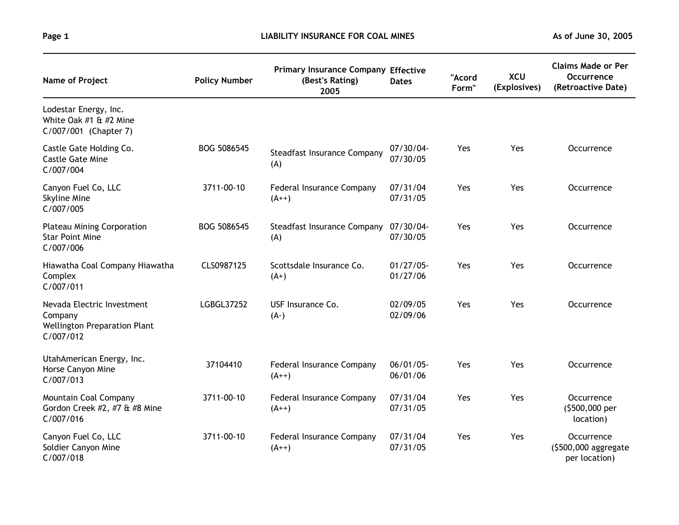| Name of Project                                                                           | <b>Policy Number</b> | <b>Primary Insurance Company Effective</b><br>(Best's Rating)<br>2005 | <b>Dates</b>             | "Acord<br>Form" | <b>XCU</b><br>(Explosives) | <b>Claims Made or Per</b><br>Occurrence<br>(Retroactive Date) |
|-------------------------------------------------------------------------------------------|----------------------|-----------------------------------------------------------------------|--------------------------|-----------------|----------------------------|---------------------------------------------------------------|
| Lodestar Energy, Inc.<br>White Oak $#1 \& #2$ Mine<br>C/007/001 (Chapter 7)               |                      |                                                                       |                          |                 |                            |                                                               |
| Castle Gate Holding Co.<br><b>Castle Gate Mine</b><br>C/007/004                           | BOG 5086545          | Steadfast Insurance Company<br>(A)                                    | $07/30/04$ -<br>07/30/05 | Yes             | Yes                        | Occurrence                                                    |
| Canyon Fuel Co, LLC<br>Skyline Mine<br>C/007/005                                          | 3711-00-10           | Federal Insurance Company<br>$(A^{++})$                               | 07/31/04<br>07/31/05     | Yes             | Yes                        | Occurrence                                                    |
| <b>Plateau Mining Corporation</b><br><b>Star Point Mine</b><br>C/007/006                  | BOG 5086545          | <b>Steadfast Insurance Company</b><br>(A)                             | 07/30/04-<br>07/30/05    | Yes             | Yes                        | Occurrence                                                    |
| Hiawatha Coal Company Hiawatha<br>Complex<br>C/007/011                                    | CLS0987125           | Scottsdale Insurance Co.<br>$(A+)$                                    | $01/27/05$ -<br>01/27/06 | Yes             | Yes                        | Occurrence                                                    |
| Nevada Electric Investment<br>Company<br><b>Wellington Preparation Plant</b><br>C/007/012 | LGBGL37252           | USF Insurance Co.<br>$(A-)$                                           | 02/09/05<br>02/09/06     | Yes             | Yes                        | Occurrence                                                    |
| UtahAmerican Energy, Inc.<br>Horse Canyon Mine<br>C/007/013                               | 37104410             | Federal Insurance Company<br>$(A++)$                                  | $06/01/05$ -<br>06/01/06 | Yes             | Yes                        | Occurrence                                                    |
| Mountain Coal Company<br>Gordon Creek #2, #7 & #8 Mine<br>C/007/016                       | 3711-00-10           | Federal Insurance Company<br>$(A++)$                                  | 07/31/04<br>07/31/05     | Yes             | Yes                        | Occurrence<br>(\$500,000 per<br>location)                     |
| Canyon Fuel Co, LLC<br>Soldier Canyon Mine<br>C/007/018                                   | 3711-00-10           | Federal Insurance Company<br>$(A^{++})$                               | 07/31/04<br>07/31/05     | Yes             | Yes                        | Occurrence<br>(\$500,000 aggregate<br>per location)           |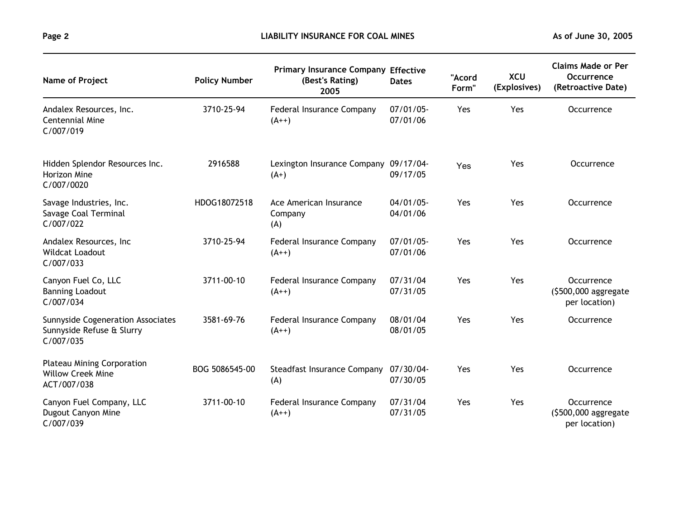| Name of Project                                                              | <b>Policy Number</b> | <b>Primary Insurance Company Effective</b><br>(Best's Rating)<br>2005 | <b>Dates</b>             | "Acord<br>Form" | <b>XCU</b><br>(Explosives) | <b>Claims Made or Per</b><br><b>Occurrence</b><br>(Retroactive Date) |
|------------------------------------------------------------------------------|----------------------|-----------------------------------------------------------------------|--------------------------|-----------------|----------------------------|----------------------------------------------------------------------|
| Andalex Resources, Inc.<br><b>Centennial Mine</b><br>C/007/019               | 3710-25-94           | Federal Insurance Company<br>$(A++)$                                  | $07/01/05$ -<br>07/01/06 | Yes             | Yes                        | Occurrence                                                           |
| Hidden Splendor Resources Inc.<br>Horizon Mine<br>C/007/0020                 | 2916588              | Lexington Insurance Company 09/17/04-<br>$(A+)$                       | 09/17/05                 | Yes             | Yes                        | Occurrence                                                           |
| Savage Industries, Inc.<br>Savage Coal Terminal<br>C/007/022                 | HDOG18072518         | Ace American Insurance<br>Company<br>(A)                              | $04/01/05$ -<br>04/01/06 | Yes             | Yes                        | Occurrence                                                           |
| Andalex Resources, Inc.<br><b>Wildcat Loadout</b><br>C/007/033               | 3710-25-94           | Federal Insurance Company<br>$(A^{++})$                               | 07/01/05<br>07/01/06     | Yes             | Yes                        | Occurrence                                                           |
| Canyon Fuel Co, LLC<br><b>Banning Loadout</b><br>C/007/034                   | 3711-00-10           | Federal Insurance Company<br>$(A^{++})$                               | 07/31/04<br>07/31/05     | Yes             | Yes                        | Occurrence<br>(\$500,000 aggregate<br>per location)                  |
| Sunnyside Cogeneration Associates<br>Sunnyside Refuse & Slurry<br>C/007/035  | 3581-69-76           | Federal Insurance Company<br>$(A^{++})$                               | 08/01/04<br>08/01/05     | Yes             | Yes                        | Occurrence                                                           |
| <b>Plateau Mining Corporation</b><br><b>Willow Creek Mine</b><br>ACT/007/038 | BOG 5086545-00       | <b>Steadfast Insurance Company</b><br>(A)                             | 07/30/04-<br>07/30/05    | Yes             | Yes                        | Occurrence                                                           |
| Canyon Fuel Company, LLC<br>Dugout Canyon Mine<br>C/007/039                  | 3711-00-10           | Federal Insurance Company<br>$(A^{++})$                               | 07/31/04<br>07/31/05     | Yes             | Yes                        | Occurrence<br>$(5500,000$ aggregate<br>per location)                 |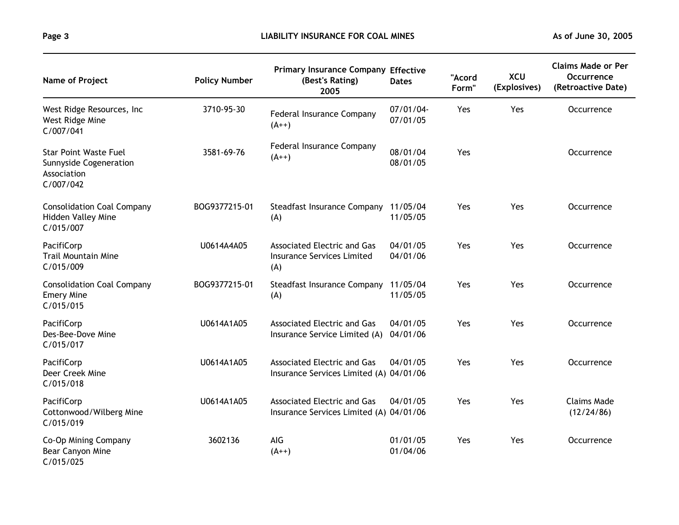| Name of Project                                                                    | <b>Policy Number</b> | <b>Primary Insurance Company Effective</b><br>(Best's Rating)<br>2005          | <b>Dates</b>          | "Acord<br>Form" | <b>XCU</b><br>(Explosives) | <b>Claims Made or Per</b><br><b>Occurrence</b><br>(Retroactive Date) |
|------------------------------------------------------------------------------------|----------------------|--------------------------------------------------------------------------------|-----------------------|-----------------|----------------------------|----------------------------------------------------------------------|
| West Ridge Resources, Inc.<br>West Ridge Mine<br>C/007/041                         | 3710-95-30           | Federal Insurance Company<br>$(A++)$                                           | 07/01/04-<br>07/01/05 | Yes             | Yes                        | Occurrence                                                           |
| <b>Star Point Waste Fuel</b><br>Sunnyside Cogeneration<br>Association<br>C/007/042 | 3581-69-76           | Federal Insurance Company<br>$(A^{++})$                                        | 08/01/04<br>08/01/05  | Yes             |                            | Occurrence                                                           |
| <b>Consolidation Coal Company</b><br>Hidden Valley Mine<br>C/015/007               | BOG9377215-01        | Steadfast Insurance Company 11/05/04<br>(A)                                    | 11/05/05              | Yes             | Yes                        | Occurrence                                                           |
| PacifiCorp<br><b>Trail Mountain Mine</b><br>C/015/009                              | U0614A4A05           | <b>Associated Electric and Gas</b><br><b>Insurance Services Limited</b><br>(A) | 04/01/05<br>04/01/06  | Yes             | Yes                        | Occurrence                                                           |
| <b>Consolidation Coal Company</b><br><b>Emery Mine</b><br>C/015/015                | BOG9377215-01        | <b>Steadfast Insurance Company</b><br>(A)                                      | 11/05/04<br>11/05/05  | Yes             | Yes                        | Occurrence                                                           |
| PacifiCorp<br>Des-Bee-Dove Mine<br>C/015/017                                       | U0614A1A05           | <b>Associated Electric and Gas</b><br>Insurance Service Limited (A)            | 04/01/05<br>04/01/06  | Yes             | Yes                        | Occurrence                                                           |
| PacifiCorp<br>Deer Creek Mine<br>C/015/018                                         | U0614A1A05           | Associated Electric and Gas<br>Insurance Services Limited (A) 04/01/06         | 04/01/05              | Yes             | Yes                        | Occurrence                                                           |
| PacifiCorp<br>Cottonwood/Wilberg Mine<br>C/015/019                                 | U0614A1A05           | <b>Associated Electric and Gas</b><br>Insurance Services Limited (A) 04/01/06  | 04/01/05              | Yes             | Yes                        | <b>Claims Made</b><br>(12/24/86)                                     |
| Co-Op Mining Company<br>Bear Canyon Mine<br>C/015/025                              | 3602136              | AIG<br>$(A++)$                                                                 | 01/01/05<br>01/04/06  | Yes             | Yes                        | Occurrence                                                           |